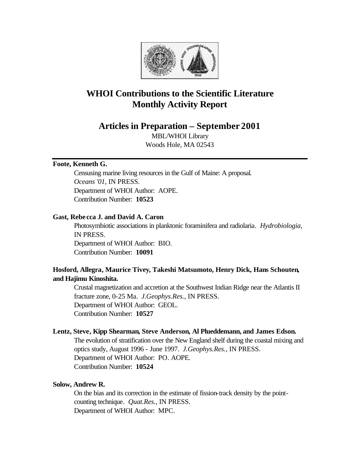

# **WHOI Contributions to the Scientific Literature Monthly Activity Report**

**Articles in Preparation – September 2001**

MBL/WHOI Library Woods Hole, MA 02543

## **Foote, Kenneth G.**

Censusing marine living resources in the Gulf of Maine: A proposal. *Oceans '01*, IN PRESS. Department of WHOI Author: AOPE. Contribution Number: **10523**

## **Gast, Rebe cca J. and David A. Caron**

Photosymbiotic associations in planktonic foraminifera and radiolaria. *Hydrobiologia*, IN PRESS. Department of WHOI Author: BIO. Contribution Number: **10091**

# **Hosford, Allegra, Maurice Tivey, Takeshi Matsumoto, Henry Dick, Hans Schouten, and Hajimu Kinoshita.**

Crustal magnetization and accretion at the Southwest Indian Ridge near the Atlantis II fracture zone, 0-25 Ma. *J.Geophys.Res.*, IN PRESS. Department of WHOI Author: GEOL. Contribution Number: **10527**

#### **Lentz, Steve, Kipp Shearman, Steve Anderson, Al Plueddemann, and James Edson.**

The evolution of stratification over the New England shelf during the coastal mixing and optics study, August 1996 - June 1997. *J.Geophys.Res.*, IN PRESS. Department of WHOI Author: PO. AOPE. Contribution Number: **10524**

# **Solow, Andrew R.**

On the bias and its correction in the estimate of fission-track density by the pointcounting technique. *Quat.Res.*, IN PRESS. Department of WHOI Author: MPC.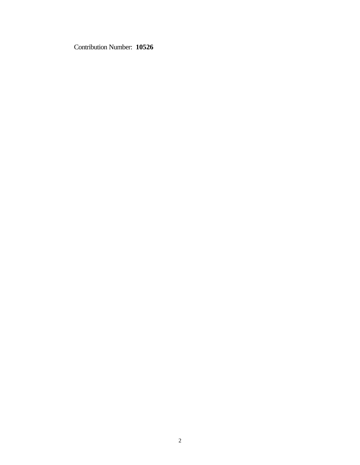Contribution Number: **10526**